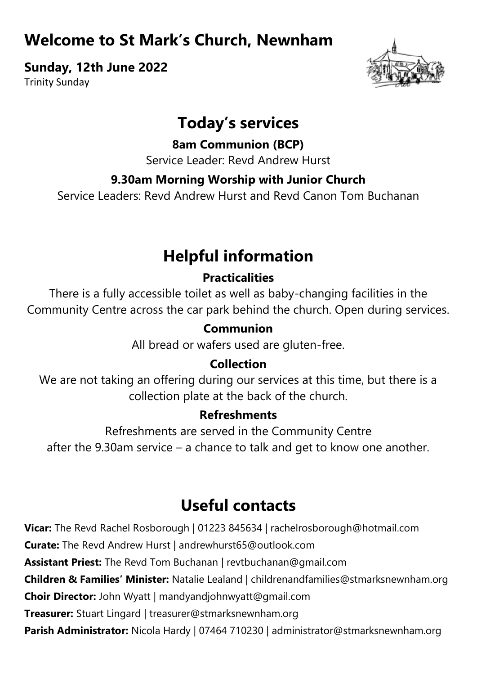## **Welcome to St Mark's Church, Newnham**

**Sunday, 12th June 2022**

Trinity Sunday



## **Today's services**

**8am Communion (BCP)**

Service Leader: Revd Andrew Hurst

## **9.30am Morning Worship with Junior Church**

Service Leaders: Revd Andrew Hurst and Revd Canon Tom Buchanan

# **Helpful information**

## **Practicalities**

There is a fully accessible toilet as well as baby-changing facilities in the Community Centre across the car park behind the church. Open during services.

## **Communion**

All bread or wafers used are gluten-free.

## **Collection**

We are not taking an offering during our services at this time, but there is a collection plate at the back of the church.

#### **Refreshments**

Refreshments are served in the Community Centre after the 9.30am service – a chance to talk and get to know one another.

# **Useful contacts**

**Vicar:** The Revd Rachel Rosborough | 01223 845634 | rachelrosborough@hotmail.com **Curate:** The Revd Andrew Hurst | andrewhurst65@outlook.com **Assistant Priest:** The Revd Tom Buchanan | revtbuchanan@gmail.com **Children & Families' Minister:** Natalie Lealand | childrenandfamilies@stmarksnewnham.org **Choir Director:** John Wyatt | mandyandjohnwyatt@gmail.com **Treasurer:** Stuart Lingard | treasurer@stmarksnewnham.org **Parish Administrator:** Nicola Hardy | 07464 710230 | administrator@stmarksnewnham.org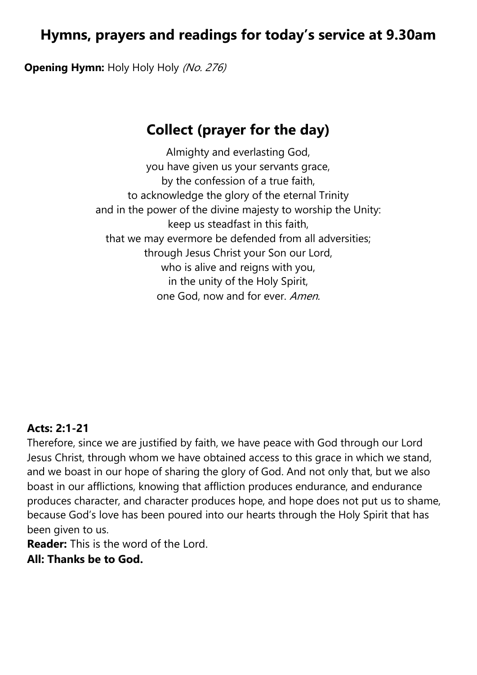## **Hymns, prayers and readings for today's service at 9.30am**

**Opening Hymn:** Holy Holy Holy (No. 276)

## **Collect (prayer for the day)**

Almighty and everlasting God, you have given us your servants grace, by the confession of a true faith, to acknowledge the glory of the eternal Trinity and in the power of the divine majesty to worship the Unity: keep us steadfast in this faith, that we may evermore be defended from all adversities; through Jesus Christ your Son our Lord, who is alive and reigns with you, in the unity of the Holy Spirit, one God, now and for ever. Amen.

#### **Acts: 2:1-21**

Therefore, since we are justified by faith, we have peace with God through our Lord Jesus Christ, through whom we have obtained access to this grace in which we stand, and we boast in our hope of sharing the glory of God. And not only that, but we also boast in our afflictions, knowing that affliction produces endurance, and endurance produces character, and character produces hope, and hope does not put us to shame, because God's love has been poured into our hearts through the Holy Spirit that has been given to us.

**Reader:** This is the word of the Lord.

**All: Thanks be to God.**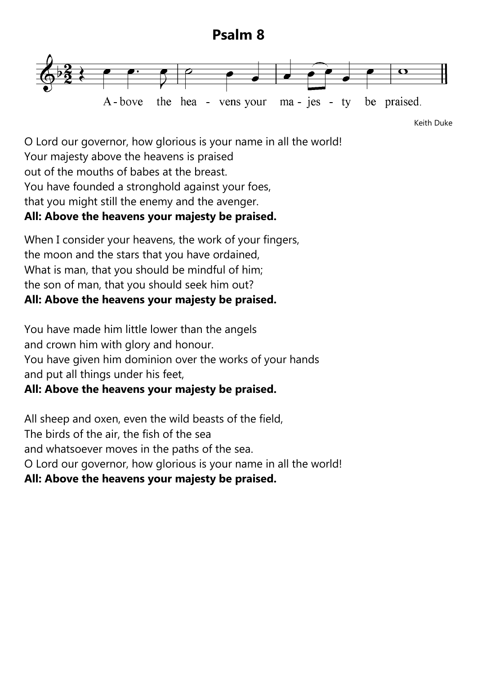### **Psalm 8**



Keith Duke

O Lord our governor, how glorious is your name in all the world! Your majesty above the heavens is praised out of the mouths of babes at the breast. You have founded a stronghold against your foes, that you might still the enemy and the avenger. **All: Above the heavens your majesty be praised.**

When I consider your heavens, the work of your fingers, the moon and the stars that you have ordained, What is man, that you should be mindful of him; the son of man, that you should seek him out? **All: Above the heavens your majesty be praised.**

You have made him little lower than the angels and crown him with glory and honour. You have given him dominion over the works of your hands and put all things under his feet,

#### **All: Above the heavens your majesty be praised.**

All sheep and oxen, even the wild beasts of the field, The birds of the air, the fish of the sea and whatsoever moves in the paths of the sea. O Lord our governor, how glorious is your name in all the world! **All: Above the heavens your majesty be praised.**